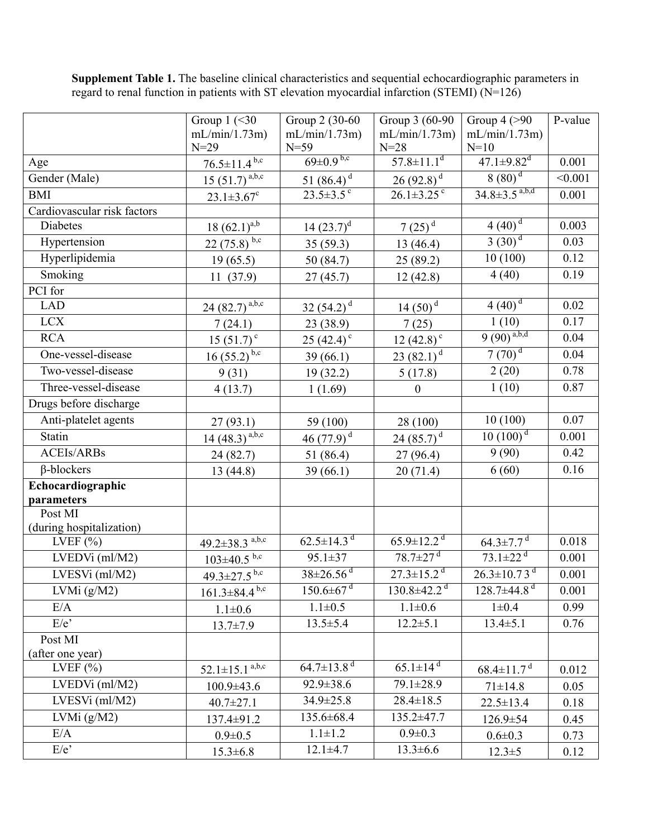|                             | Group $1$ (<30                       | Group 2 (30-60)                  | Group 3 (60-90                 | Group $4$ (>90                                            | P-value |
|-----------------------------|--------------------------------------|----------------------------------|--------------------------------|-----------------------------------------------------------|---------|
|                             | mL/min/1.73m)                        | mL/min/1.73m)                    | mL/min/1.73m)                  | mL/min/1.73m)                                             |         |
|                             | $N=29$                               | $N=59$                           | $N = 28$                       | $N=10$                                                    |         |
| Age                         | $76.5 \pm 11.4$ <sup>b,c</sup>       | $69 \pm 0.9$ <sub>b,c</sub>      | $57.8 \pm 11.1$ <sup>d</sup>   | $47.1 \pm 9.82$ <sup>d</sup>                              | 0.001   |
| Gender (Male)               | $15(51.7)^{a,b,c}$                   | 51 $(86.4)^d$                    | $26(92.8)^{d}$                 | $8(80)^d$                                                 | < 0.001 |
| <b>BMI</b>                  | $23.1 \pm 3.67$ <sup>c</sup>         | $23.5 \pm 3.5$ °                 | $26.1 \pm 3.25$ <sup>c</sup>   | $34.8 \pm 3.5^{a,b,d}$                                    | 0.001   |
| Cardiovascular risk factors |                                      |                                  |                                |                                                           |         |
| <b>Diabetes</b>             | $18 (62.1)^{a,b}$                    | $14(23.7)^d$                     | 7 $(25)^d$                     | $4(40)^{\frac{1}{d}}$                                     | 0.003   |
| Hypertension                | $22(75.8)^{b,c}$                     | 35(59.3)                         | 13(46.4)                       | $3(30)^{d}$                                               | 0.03    |
| Hyperlipidemia              | 19(65.5)                             | 50 (84.7)                        | 25(89.2)                       | 10(100)                                                   | 0.12    |
| Smoking                     | 11(37.9)                             | 27(45.7)                         | 12(42.8)                       | 4(40)                                                     | 0.19    |
| PCI for                     |                                      |                                  |                                |                                                           |         |
| <b>LAD</b>                  | $\frac{24}{(82.7)^{a,b,c}}$          | $\frac{32}{(54.2)}$ <sup>d</sup> | $\frac{14(50)^{d}}{2}$         | $4(40)^d$                                                 | 0.02    |
| <b>LCX</b>                  | 7(24.1)                              | 23 (38.9)                        | 7(25)                          | 1(10)                                                     | 0.17    |
| <b>RCA</b>                  | $15(51.7)^c$                         | 25 $(42.4)$ °                    | 12 $(42.8)$ <sup>c</sup>       | $9(90)^{a,b,d}$                                           | 0.04    |
| One-vessel-disease          | $\frac{16(55.2)^{b,c}}{2}$           | 39(66.1)                         | $\frac{23(82.1)}{4}$           | $7(70)^{d}$                                               | 0.04    |
| Two-vessel-disease          | 9(31)                                | 19(32.2)                         | 5(17.8)                        | 2(20)                                                     | 0.78    |
| Three-vessel-disease        | 4(13.7)                              | 1(1.69)                          | $\boldsymbol{0}$               | 1(10)                                                     | 0.87    |
| Drugs before discharge      |                                      |                                  |                                |                                                           |         |
| Anti-platelet agents        | 27(93.1)                             | 59 (100)                         | 28 (100)                       | 10(100)                                                   | 0.07    |
| Statin                      | $\frac{14}{(48.3)}$ <sup>a,b,c</sup> | $\frac{46 (77.9)^{d}}{2}$        | 24 $(85.7)^d$                  | $10(100)^d$                                               | 0.001   |
| <b>ACEIs/ARBs</b>           | 24(82.7)                             | 51 (86.4)                        | 27(96.4)                       | 9(90)                                                     | 0.42    |
| $\beta$ -blockers           | 13(44.8)                             | 39(66.1)                         | 20(71.4)                       | 6(60)                                                     | 0.16    |
| Echocardiographic           |                                      |                                  |                                |                                                           |         |
| parameters                  |                                      |                                  |                                |                                                           |         |
| Post MI                     |                                      |                                  |                                |                                                           |         |
| (during hospitalization)    |                                      | $62.5 \pm 14.3$ <sup>d</sup>     | $65.9 \pm 12.2^{\overline{d}}$ |                                                           |         |
| LVEF $(\%)$                 | $49.2 \pm 38.3$ <sup>a,b,c</sup>     |                                  | $78.7 \pm 27$ <sup>d</sup>     | $64.3 \pm 7.7$ <sup>d</sup><br>$73.1 \pm 22$ <sup>d</sup> | 0.018   |
| $LVEDVi$ (ml/M2)            | $\frac{103 \pm 40.5^{b,c}}{2}$       | $95.1 \pm 37$                    |                                |                                                           | 0.001   |
| LVESVi (ml/M2)              | $\frac{49.3 \pm 27.5}{b.c}$          | $38 \pm 26.56$ <sup>d</sup>      | $27.3 \pm 15.2$ <sup>d</sup>   | $26.3 \pm 10.73$ <sup>d</sup>                             | 0.001   |
| LVMi $(g/M2)$               | $161.3 \pm 84.4$ <sup>b,c</sup>      | $150.6 \pm 67$ <sup>d</sup>      | $130.8 \pm 42.2$ <sup>d</sup>  | $128.7 \pm 44.8$ <sup>d</sup>                             | 0.001   |
| E/A                         | $1.1 \pm 0.6$                        | $1.1 \pm 0.5$                    | $1.1 \pm 0.6$                  | $1\pm0.4$                                                 | 0.99    |
| $E/e$ <sup>*</sup>          | $13.7 \pm 7.9$                       | $13.5 \pm 5.4$                   | $12.2 \pm 5.1$                 | $13.4 \pm 5.1$                                            | 0.76    |
| Post MI                     |                                      |                                  |                                |                                                           |         |
| (after one year)            |                                      | $64.7 \pm 13.8$ <sup>d</sup>     | $65.1 \pm 14^{d}$              |                                                           |         |
| LVEF $(\% )$                | $52.1 \pm 15.1$ <sup>a,b,c</sup>     |                                  |                                | $68.4 \pm 11.7$ <sup>d</sup>                              | 0.012   |
| LVEDVi (ml/M2)              | $100.9 \pm 43.6$                     | $92.9 \pm 38.6$                  | 79.1±28.9                      | $71 \pm 14.8$                                             | 0.05    |
| $LVESVi$ (ml/M2)            | $40.7 \pm 27.1$                      | 34.9±25.8                        | $28.4 \pm 18.5$                | $22.5 \pm 13.4$                                           | 0.18    |
| LVMi (g/M2)                 | 137.4±91.2                           | 135.6±68.4                       | 135.2±47.7                     | $126.9 \pm 54$                                            | 0.45    |
| E/A                         | $0.9 \pm 0.5$                        | $1.1 \pm 1.2$                    | $0.9 \pm 0.3$                  | $0.6 \pm 0.3$                                             | 0.73    |
| E/e                         | $15.3 \pm 6.8$                       | $12.1 \pm 4.7$                   | $13.3 \pm 6.6$                 | $12.3 \pm 5$                                              | 0.12    |

**Supplement Table 1.** The baseline clinical characteristics and sequential echocardiographic parameters in regard to renal function in patients with ST elevation myocardial infarction (STEMI) (N=126)